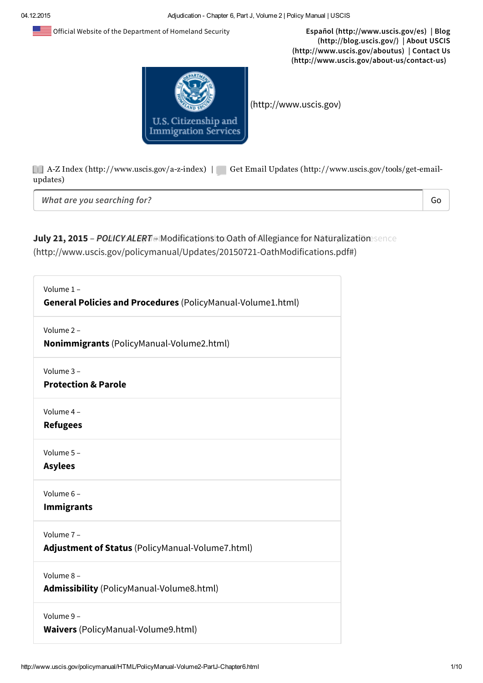n s Official Website of the Department of Homeland Security Español [\(http://www.uscis.gov/es\)](http://www.uscis.gov/es) | Blog



(http://blog.uscis.gov/) | About USCIS [\(http://www.uscis.gov/aboutus\)](http://www.uscis.gov/aboutus) | Contact Us [\(http://www.uscis.gov/about-us/contact-us\)](http://www.uscis.gov/about-us/contact-us)

[\(http://www.uscis.gov\)](http://www.uscis.gov/)

AZ Index [\(http://www.uscis.gov/azindex\)](http://www.uscis.gov/a-z-index) | Get Email Updates [\(http://www.uscis.gov/tools/getemail](http://www.uscis.gov/tools/get-email-updates)updates)

*What are you searching for?*

Go

#### July 21, 2015 - *POLICY: ALERT etModificationsito*: Oath of Allegiance for Naturalization sence (http://www.uscis.gov/policymanual/Updates/20150721-OathModifications.pdf#)

| Volume 1-<br>General Policies and Procedures (PolicyManual-Volume1.html) |
|--------------------------------------------------------------------------|
| Volume 2-<br><b>Nonimmigrants</b> (PolicyManual-Volume2.html)            |
| Volume 3-<br><b>Protection &amp; Parole</b>                              |
| Volume 4-<br><b>Refugees</b>                                             |
| Volume 5-<br><b>Asylees</b>                                              |
| Volume 6-<br><b>Immigrants</b>                                           |
| Volume 7-<br>Adjustment of Status (PolicyManual-Volume7.html)            |
| Volume 8-<br><b>Admissibility</b> (PolicyManual-Volume8.html)            |
| Volume 9-<br><b>Waivers</b> (PolicyManual-Volume9.html)                  |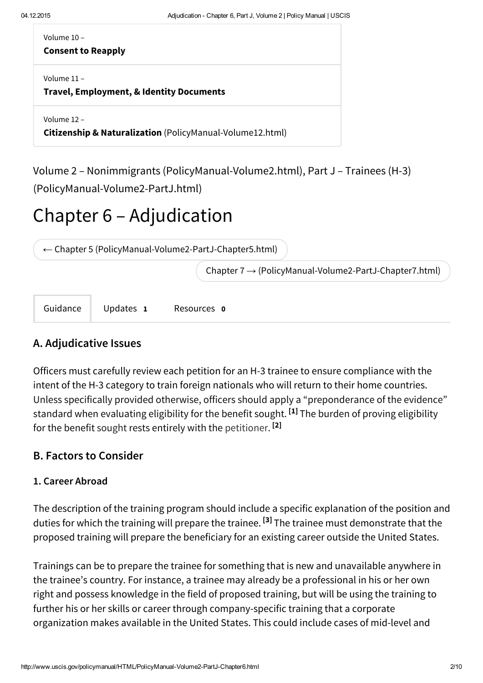Volume 10 –

#### Consent to Reapply

Volume 11 –

Travel, Employment, & Identity Documents

Volume 12 –

Citizenship & Naturalization [\(PolicyManual-Volume12.html\)](http://www.uscis.gov/policymanual/HTML/PolicyManual-Volume12.html)

Volume 2 – Nonimmigrants [\(PolicyManual-Volume2.html\)](http://www.uscis.gov/policymanual/HTML/PolicyManual-Volume2.html), Part J – Trainees (H-3) [\(PolicyManual-Volume2-PartJ.html\)](http://www.uscis.gov/policymanual/HTML/PolicyManual-Volume2-PartJ.html)

# Chapter 6 – Adjudication

← Chapter 5 [\(PolicyManual-Volume2-PartJ-Chapter5.html\)](http://www.uscis.gov/policymanual/HTML/PolicyManual-Volume2-PartJ-Chapter5.html)

Chapter 7 → [\(PolicyManual-Volume2-PartJ-Chapter7.html\)](http://www.uscis.gov/policymanual/HTML/PolicyManual-Volume2-PartJ-Chapter7.html)

Guidance Updates 1 Resources 0

## A. Adjudicative Issues

Officers must carefully review each petition for an H-3 trainee to ensure compliance with the intent of the H-3 category to train foreign nationals who will return to their home countries. Unless specifically provided otherwise, officers should apply a "preponderance of the evidence" standard when evaluating eligibility for the benefit sought. <sup>[1]</sup> The burden of proving eligibility for the benefit sought rests entirely with the petitioner. <sup>[2]</sup>

### B. Factors to Consider

#### 1. Career Abroad

The description of the training program should include a specific explanation of the position and duties for which the training will prepare the trainee. <sup>[3]</sup> The trainee must demonstrate that the proposed training will prepare the beneficiary for an existing career outside the United States.

Trainings can be to prepare the trainee for something that is new and unavailable anywhere in the trainee's country. For instance, a trainee may already be a professional in his or her own right and possess knowledge in the field of proposed training, but will be using the training to further his or her skills or career through company-specific training that a corporate organization makes available in the United States. This could include cases of mid-level and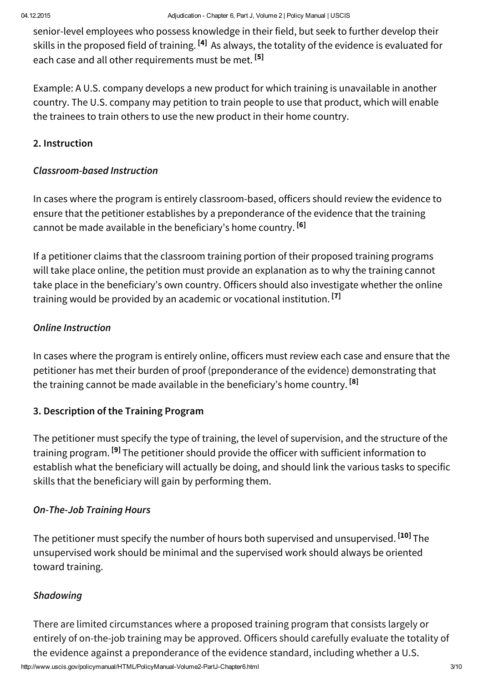senior-level employees who possess knowledge in their field, but seek to further develop their skills in the proposed field of training. <sup>[4]</sup> As always, the totality of the evidence is evaluated for each case and all other requirements must be met. <sup>[5]</sup>

Example: A U.S. company develops a new product for which training is unavailable in another country. The U.S. company may petition to train people to use that product, which will enable the trainees to train others to use the new product in their home country.

### 2. Instruction

### *Classroom-based Instruction*

In cases where the program is entirely classroom-based, officers should review the evidence to ensure that the petitioner establishes by a preponderance of the evidence that the training cannot be made available in the beneficiary's home country. <sup>[6]</sup>

If a petitioner claims that the classroom training portion of their proposed training programs will take place online, the petition must provide an explanation as to why the training cannot take place in the beneficiary's own country. Officers should also investigate whether the online training would be provided by an academic or vocational institution. <sup>[7]</sup>

### *Online Instruction*

In cases where the program is entirely online, officers must review each case and ensure that the petitioner has met their burden of proof (preponderance of the evidence) demonstrating that the training cannot be made available in the beneficiary's home country. <sup>[8]</sup>

### 3. Description of the Training Program

The petitioner must specify the type of training, the level of supervision, and the structure of the training program. <sup>[9]</sup> The petitioner should provide the officer with sufficient information to establish what the beneficiary will actually be doing, and should link the various tasks to specific skills that the beneficiary will gain by performing them.

#### *On-The-Job Training Hours*

The petitioner must specify the number of hours both supervised and unsupervised. <sup>[10]</sup> The unsupervised work should be minimal and the supervised work should always be oriented toward training.

### *Shadowing*

http://www.uscis.gov/policymanual/HTML/PolicyManual-Volume2-PartJ-Chapter6.html 3/10 There are limited circumstances where a proposed training program that consists largely or entirely of on-the-job training may be approved. Officers should carefully evaluate the totality of the evidence against a preponderance of the evidence standard, including whether a U.S.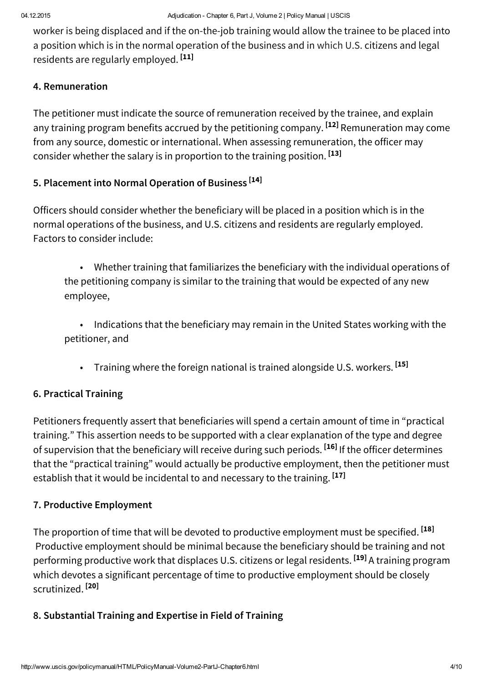worker is being displaced and if the on-the-job training would allow the trainee to be placed into a position which is in the normal operation of the business and in which U.S. citizens and legal residents are regularly employed. <sup>[11]</sup>

#### 4. Remuneration

The petitioner must indicate the source of remuneration received by the trainee, and explain any training program benefits accrued by the petitioning company. <sup>[12]</sup> Remuneration may come from any source, domestic or international. When assessing remuneration, the officer may consider whether the salary is in proportion to the training position. <sup>[13]</sup>

## 5. Placement into Normal Operation of Business [14]

Officers should consider whether the beneficiary will be placed in a position which is in the normal operations of the business, and U.S. citizens and residents are regularly employed. Factors to consider include:

• Whether training that familiarizes the beneficiary with the individual operations of the petitioning company is similar to the training that would be expected of any new employee,

• Indications that the beneficiary may remain in the United States working with the petitioner, and

• Training where the foreign national is trained alongside U.S. workers. <sup>[15]</sup>

### 6. Practical Training

Petitioners frequently assert that beneficiaries will spend a certain amount of time in "practical training." This assertion needs to be supported with a clear explanation of the type and degree of supervision that the beneficiary will receive during such periods. <sup>[16]</sup> If the officer determines that the "practical training" would actually be productive employment, then the petitioner must establish that it would be incidental to and necessary to the training. <sup>[17]</sup>

### 7. Productive Employment

The proportion of time that will be devoted to productive employment must be specified. <sup>[18]</sup> Productive employment should be minimal because the beneficiary should be training and not performing productive work that displaces U.S. citizens or legal residents. <sup>[19]</sup> A training program which devotes a significant percentage of time to productive employment should be closely scrutinized. <sup>[20]</sup>

#### 8. Substantial Training and Expertise in Field of Training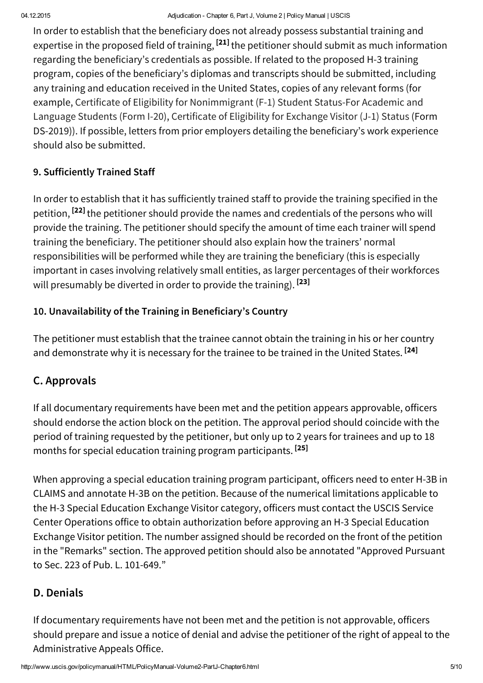In order to establish that the beneficiary does not already possess substantial training and expertise in the proposed field of training, <sup>[21]</sup> the petitioner should submit as much information regarding the beneficiary's credentials as possible. If related to the proposed H-3 training program, copies of the beneficiary's diplomas and transcripts should be submitted, including any training and education received in the United States, copies of any relevant forms (for example, Certificate of Eligibility for Nonimmigrant (F-1) Student Status-For Academic and Language Students (Form I-20), Certificate of Eligibility for Exchange Visitor (J-1) Status (Form DS-2019)). If possible, letters from prior employers detailing the beneficiary's work experience should also be submitted.

# 9. Sufficiently Trained Staff

In order to establish that it has sufficiently trained staff to provide the training specified in the petition, <sup>[22]</sup> the petitioner should provide the names and credentials of the persons who will provide the training. The petitioner should specify the amount of time each trainer will spend training the beneficiary. The petitioner should also explain how the trainers' normal responsibilities will be performed while they are training the beneficiary (this is especially important in cases involving relatively small entities, as larger percentages of their workforces will presumably be diverted in order to provide the training). <sup>[23]</sup>

# 10. Unavailability of the Training in Beneficiary's Country

The petitioner must establish that the trainee cannot obtain the training in his or her country and demonstrate why it is necessary for the trainee to be trained in the United States. <sup>[24]</sup>

# C. Approvals

If all documentary requirements have been met and the petition appears approvable, officers should endorse the action block on the petition. The approval period should coincide with the period of training requested by the petitioner, but only up to 2 years for trainees and up to 18 months for special education training program participants. [25]

When approving a special education training program participant, officers need to enter H-3B in CLAIMS and annotate H-3B on the petition. Because of the numerical limitations applicable to the H-3 Special Education Exchange Visitor category, officers must contact the USCIS Service Center Operations office to obtain authorization before approving an H-3 Special Education Exchange Visitor petition. The number assigned should be recorded on the front of the petition in the "Remarks" section. The approved petition should also be annotated "Approved Pursuant to Sec. 223 of Pub. L. 101-649."

# D. Denials

If documentary requirements have not been met and the petition is not approvable, officers should prepare and issue a notice of denial and advise the petitioner of the right of appeal to the Administrative Appeals Office.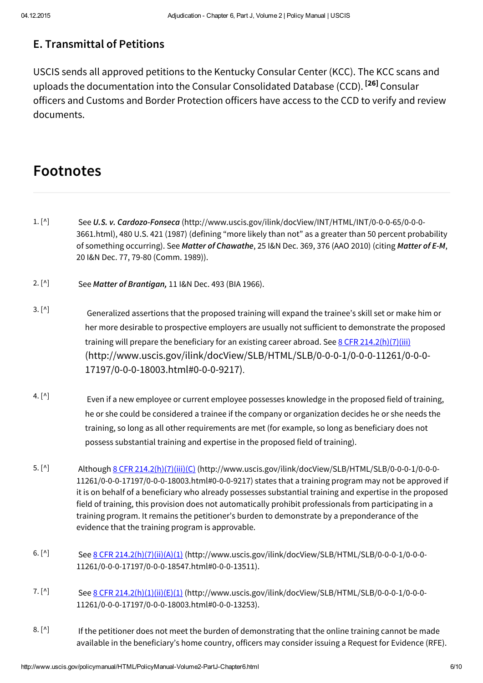# E. Transmittal of Petitions

USCIS sends all approved petitions to the Kentucky Consular Center (KCC). The KCC scans and uploads the documentation into the Consular Consolidated Database (CCD). <sup>[26]</sup> Consular officers and Customs and Border Protection officers have access to the CCD to verify and review documents.

# Footnotes

- See *U.S. v. Cardozo-Fonseca* [\(http://www.uscis.gov/ilink/docView/INT/HTML/INT/0-0-0-65/0-0-0-](http://www.uscis.gov/ilink/docView/INT/HTML/INT/0-0-0-65/0-0-0-3661.html) 3661.html), 480 U.S. 421 (1987) (defining "more likely than not" as a greater than 50 percent probability of something occurring). See *Matter of Chawathe*, 25 I&N Dec. 369, 376 (AAO 2010) (citing *Matter of E-M*, 20 I&N Dec. 77, 79-80 (Comm. 1989)).  $1. [^{\wedge}]$
- See *Matter of Brantigan,* 11 I&N Dec. 493 (BIA 1966).  $2. [^{\wedge}]$
- Generalized assertions that the proposed training will expand the trainee's skill set or make him or her more desirable to prospective employers are usually not sufficient to demonstrate the proposed training will prepare the beneficiary for an existing career abroad. See 8 CFR 214.2(h)(7)(iii) [\(http://www.uscis.gov/ilink/docView/SLB/HTML/SLB/0-0-0-1/0-0-0-11261/0-0-0-](http://www.uscis.gov/ilink/docView/SLB/HTML/SLB/0-0-0-1/0-0-0-11261/0-0-0-17197/0-0-0-18003.html#0-0-0-9217) 17197/0-0-0-18003.html#0-0-0-9217).  $3. [^{\wedge}]$
- Even if a new employee or current employee possesses knowledge in the proposed field of training, he or she could be considered a trainee if the company or organization decides he or she needs the training, so long as all other requirements are met (for example, so long as beneficiary does not possess substantial training and expertise in the proposed field of training). 4.  $[^{\wedge}]$
- Although 8 CFR 214.2(h)(7)(iii)(C) [\(http://www.uscis.gov/ilink/docView/SLB/HTML/SLB/0-0-0-1/0-0-0-](http://www.uscis.gov/ilink/docView/SLB/HTML/SLB/0-0-0-1/0-0-0-11261/0-0-0-17197/0-0-0-18003.html#0-0-0-9217) 11261/0-0-0-17197/0-0-0-18003.html#0-0-0-9217) states that a training program may not be approved if it is on behalf of a beneficiary who already possesses substantial training and expertise in the proposed field of training, this provision does not automatically prohibit professionals from participating in a training program. It remains the petitioner's burden to demonstrate by a preponderance of the evidence that the training program is approvable. 5.  $[^{\wedge}]$
- See 8 CFR 214.2(h)(7)(ii)(A)(1) [\(http://www.uscis.gov/ilink/docView/SLB/HTML/SLB/0-0-0-1/0-0-0-](http://www.uscis.gov/ilink/docView/SLB/HTML/SLB/0-0-0-1/0-0-0-11261/0-0-0-17197/0-0-0-18547.html#0-0-0-13511) 11261/0-0-0-17197/0-0-0-18547.html#0-0-0-13511).  $6. [^{\wedge}]$
- See 8 CFR 214.2(h)(1)(ii)(E)(1) [\(http://www.uscis.gov/ilink/docView/SLB/HTML/SLB/0-0-0-1/0-0-0-](http://www.uscis.gov/ilink/docView/SLB/HTML/SLB/0-0-0-1/0-0-0-11261/0-0-0-17197/0-0-0-18003.html#0-0-0-13253) 11261/0-0-0-17197/0-0-0-18003.html#0-0-0-13253). 7. [^]
- If the petitioner does not meet the burden of demonstrating that the online training cannot be made available in the beneficiary's home country, officers may consider issuing a Request for Evidence (RFE).  $8. [^{\wedge}]$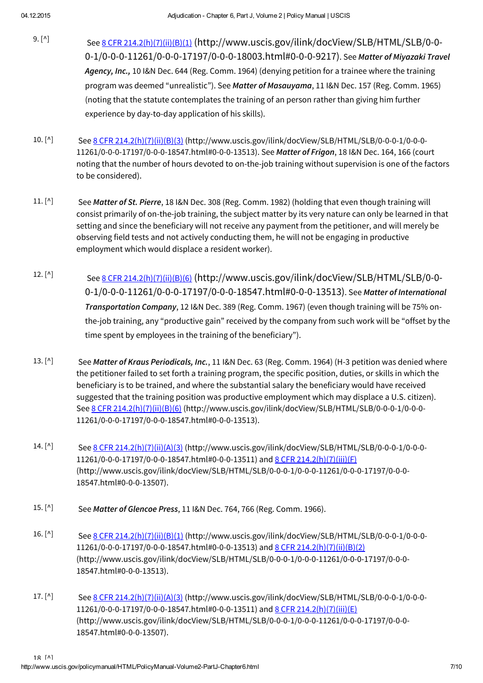- See 8 CFR 214.2(h)(7)(ii)(B)(1) (http://www.uscis.gov/ilink/docView/SLB/HTML/SLB/0-0- [0-1/0-0-0-11261/0-0-0-17197/0-0-0-18003.html#0-0-0-9217\)](http://www.uscis.gov/ilink/docView/SLB/HTML/SLB/0-0-0-1/0-0-0-11261/0-0-0-17197/0-0-0-18003.html#0-0-0-9217). See *Matter of Miyazaki Travel Agency, Inc.,* 10 I&N Dec. 644 (Reg. Comm. 1964) (denying petition for a trainee where the training program was deemed "unrealistic"). See *Matter of Masauyama*, 11 I&N Dec. 157 (Reg. Comm. 1965) (noting that the statute contemplates the training of an person rather than giving him further experience by day-to-day application of his skills). 9. [^]
- See 8 CFR 214.2(h)(7)(ii)(B)(3) [\(http://www.uscis.gov/ilink/docView/SLB/HTML/SLB/0-0-0-1/0-0-0-](http://www.uscis.gov/ilink/docView/SLB/HTML/SLB/0-0-0-1/0-0-0-11261/0-0-0-17197/0-0-0-18547.html#0-0-0-13513) 11261/0-0-0-17197/0-0-0-18547.html#0-0-0-13513). See *Matter of Frigon*, 18 I&N Dec. 164, 166 (court noting that the number of hours devoted to on-the-job training without supervision is one of the factors to be considered). 10.  $[^{\wedge}]$
- See *Matter of St. Pierre*, 18 I&N Dec. 308 (Reg. Comm. 1982) (holding that even though training will consist primarily of on-the-job training, the subject matter by its very nature can only be learned in that setting and since the beneficiary will not receive any payment from the petitioner, and will merely be observing field tests and not actively conducting them, he will not be engaging in productive employment which would displace a resident worker).  $11. [^{\wedge}]$
- See 8 CFR 214.2(h)(7)(ii)(B)(6) (http://www.uscis.gov/ilink/docView/SLB/HTML/SLB/0-0- [0-1/0-0-0-11261/0-0-0-17197/0-0-0-18547.html#0-0-0-13513\)](http://www.uscis.gov/ilink/docView/SLB/HTML/SLB/0-0-0-1/0-0-0-11261/0-0-0-17197/0-0-0-18547.html#0-0-0-13513). See *Matter of International Transportation Company*, 12 I&N Dec. 389 (Reg. Comm. 1967) (even though training will be 75% onthe-job training, any "productive gain" received by the company from such work will be "offset by the time spent by employees in the training of the beneficiary"). 12.  $[^{\wedge}]$
- See *Matter of Kraus Periodicals, Inc.*, 11 I&N Dec. 63 (Reg. Comm. 1964) (H-3 petition was denied where the petitioner failed to set forth a training program, the specific position, duties, or skills in which the beneficiary is to be trained, and where the substantial salary the beneficiary would have received suggested that the training position was productive employment which may displace a U.S. citizen). See 8 CFR 214.2(h)(7)(ii)(B)(6) [\(http://www.uscis.gov/ilink/docView/SLB/HTML/SLB/0-0-0-1/0-0-0-](http://www.uscis.gov/ilink/docView/SLB/HTML/SLB/0-0-0-1/0-0-0-11261/0-0-0-17197/0-0-0-18547.html#0-0-0-13513) 11261/0-0-0-17197/0-0-0-18547.html#0-0-0-13513). 13.  $[^{\wedge}]$
- See 8 CFR 214.2(h)(7)(ii)(A)(3) [\(http://www.uscis.gov/ilink/docView/SLB/HTML/SLB/0-0-0-1/0-0-0-](http://www.uscis.gov/ilink/docView/SLB/HTML/SLB/0-0-0-1/0-0-0-11261/0-0-0-17197/0-0-0-18547.html#0-0-0-13511) 11261/0-0-0-17197/0-0-0-18547.html#0-0-0-13511) and 8 CFR 214.2(h)(7)(iii)(F) [\(http://www.uscis.gov/ilink/docView/SLB/HTML/SLB/0-0-0-1/0-0-0-11261/0-0-0-17197/0-0-0-](http://www.uscis.gov/ilink/docView/SLB/HTML/SLB/0-0-0-1/0-0-0-11261/0-0-0-17197/0-0-0-18547.html#0-0-0-13507) 18547.html#0-0-0-13507). 14.  $\lceil$ <sup>^</sup> $\rceil$
- See *Matter of Glencoe Press*, 11 I&N Dec. 764, 766 (Reg. Comm. 1966). 15. [^]
- See 8 CFR 214.2(h)(7)(ii)(B)(1) [\(http://www.uscis.gov/ilink/docView/SLB/HTML/SLB/0-0-0-1/0-0-0-](http://www.uscis.gov/ilink/docView/SLB/HTML/SLB/0-0-0-1/0-0-0-11261/0-0-0-17197/0-0-0-18547.html#0-0-0-13513) 11261/0-0-0-17197/0-0-0-18547.html#0-0-0-13513) and 8 CFR 214.2(h)(7)(ii)(B)(2) [\(http://www.uscis.gov/ilink/docView/SLB/HTML/SLB/0-0-0-1/0-0-0-11261/0-0-0-17197/0-0-0-](http://www.uscis.gov/ilink/docView/SLB/HTML/SLB/0-0-0-1/0-0-0-11261/0-0-0-17197/0-0-0-18547.html#0-0-0-13513) 18547.html#0-0-0-13513). 16. [^]
- See 8 CFR 214.2(h)(7)(ii)(A)(3) [\(http://www.uscis.gov/ilink/docView/SLB/HTML/SLB/0-0-0-1/0-0-0-](http://www.uscis.gov/ilink/docView/SLB/HTML/SLB/0-0-0-1/0-0-0-11261/0-0-0-17197/0-0-0-18547.html#0-0-0-13511) 11261/0-0-0-17197/0-0-0-18547.html#0-0-0-13511) and 8 CFR 214.2(h)(7)(iii)(E) [\(http://www.uscis.gov/ilink/docView/SLB/HTML/SLB/0-0-0-1/0-0-0-11261/0-0-0-17197/0-0-0-](http://www.uscis.gov/ilink/docView/SLB/HTML/SLB/0-0-0-1/0-0-0-11261/0-0-0-17197/0-0-0-18547.html#0-0-0-13507) 18547.html#0-0-0-13507).  $17. [^{\wedge}]$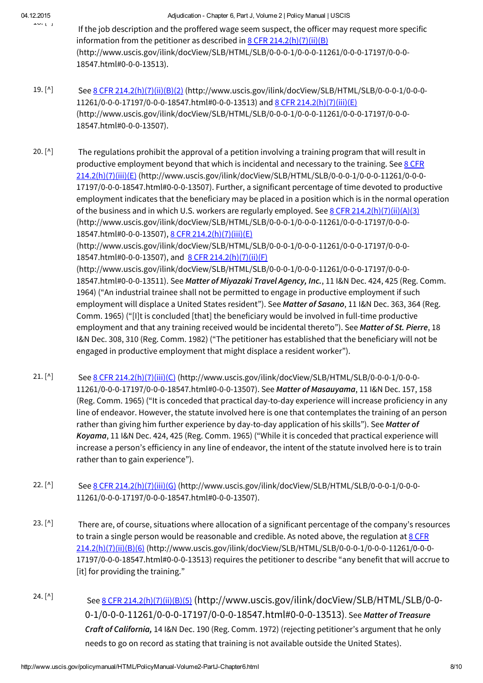$19.11$ 

- If the job description and the proffered wage seem suspect, the officer may request more specific information from the petitioner as described in 8 CFR 214.2(h)(7)(ii)(B) [\(http://www.uscis.gov/ilink/docView/SLB/HTML/SLB/0-0-0-1/0-0-0-11261/0-0-0-17197/0-0-0-](http://www.uscis.gov/ilink/docView/SLB/HTML/SLB/0-0-0-1/0-0-0-11261/0-0-0-17197/0-0-0-18547.html#0-0-0-13513) 18547.html#0-0-0-13513).
- See 8 CFR 214.2(h)(7)(ii)(B)(2) [\(http://www.uscis.gov/ilink/docView/SLB/HTML/SLB/0-0-0-1/0-0-0-](http://www.uscis.gov/ilink/docView/SLB/HTML/SLB/0-0-0-1/0-0-0-11261/0-0-0-17197/0-0-0-18547.html#0-0-0-13513) 11261/0-0-0-17197/0-0-0-18547.html#0-0-0-13513) and 8 CFR 214.2(h)(7)(iii)(E) [\(http://www.uscis.gov/ilink/docView/SLB/HTML/SLB/0-0-0-1/0-0-0-11261/0-0-0-17197/0-0-0-](http://www.uscis.gov/ilink/docView/SLB/HTML/SLB/0-0-0-1/0-0-0-11261/0-0-0-17197/0-0-0-18547.html#0-0-0-13507) 18547.html#0-0-0-13507). 19. [^]

The regulations prohibit the approval of a petition involving a training program that will result in productive employment beyond that which is incidental and necessary to the training. See 8 CFR 214.2(h)(7)(iii)(E) [\(http://www.uscis.gov/ilink/docView/SLB/HTML/SLB/0-0-0-1/0-0-0-11261/0-0-0-](http://www.uscis.gov/ilink/docView/SLB/HTML/SLB/0-0-0-1/0-0-0-11261/0-0-0-17197/0-0-0-18547.html#0-0-0-13507) 17197/0-0-0-18547.html#0-0-0-13507). Further, a significant percentage of time devoted to productive employment indicates that the beneficiary may be placed in a position which is in the normal operation of the business and in which U.S. workers are regularly employed. See  $8$  CFR 214.2(h)(7)(ii)(A)(3) [\(http://www.uscis.gov/ilink/docView/SLB/HTML/SLB/0-0-0-1/0-0-0-11261/0-0-0-17197/0-0-0-](http://www.uscis.gov/ilink/docView/SLB/HTML/SLB/0-0-0-1/0-0-0-11261/0-0-0-17197/0-0-0-18547.html#0-0-0-13507) 18547.html#0-0-0-13507), 8 CFR 214.2(h)(7)(iii)(E) 20.  $[^{\wedge}]$ 

[\(http://www.uscis.gov/ilink/docView/SLB/HTML/SLB/0-0-0-1/0-0-0-11261/0-0-0-17197/0-0-0-](http://www.uscis.gov/ilink/docView/SLB/HTML/SLB/0-0-0-1/0-0-0-11261/0-0-0-17197/0-0-0-18547.html#0-0-0-13507) 18547.html#0-0-0-13507), and 8 CFR 214.2(h)(7)(ii)(F)

[\(http://www.uscis.gov/ilink/docView/SLB/HTML/SLB/0-0-0-1/0-0-0-11261/0-0-0-17197/0-0-0-](http://www.uscis.gov/ilink/docView/SLB/HTML/SLB/0-0-0-1/0-0-0-11261/0-0-0-17197/0-0-0-18547.html#0-0-0-13511) 18547.html#0-0-0-13511). See *Matter of Miyazaki Travel Agency, Inc.*, 11 I&N Dec. 424, 425 (Reg. Comm. 1964) ("An industrial trainee shall not be permitted to engage in productive employment if such employment will displace a United States resident"). See *Matter of Sasano*, 11 I&N Dec. 363, 364 (Reg. Comm. 1965) ("[I]t is concluded [that] the beneficiary would be involved in full-time productive employment and that any training received would be incidental thereto"). See *Matter of St. Pierre*, 18 I&N Dec. 308, 310 (Reg. Comm. 1982) ("The petitioner has established that the beneficiary will not be engaged in productive employment that might displace a resident worker").

- See 8 CFR 214.2(h)(7)(iii)(C) [\(http://www.uscis.gov/ilink/docView/SLB/HTML/SLB/0-0-0-1/0-0-0-](http://www.uscis.gov/ilink/docView/SLB/HTML/SLB/0-0-0-1/0-0-0-11261/0-0-0-17197/0-0-0-18547.html#0-0-0-13507) 11261/0-0-0-17197/0-0-0-18547.html#0-0-0-13507). See *Matter of Masauyama*, 11 I&N Dec. 157, 158 (Reg. Comm. 1965) ("It is conceded that practical day-to-day experience will increase proficiency in any line of endeavor. However, the statute involved here is one that contemplates the training of an person rather than giving him further experience by day-to-day application of his skills"). See *Matter of Koyama*, 11 I&N Dec. 424, 425 (Reg. Comm. 1965) ("While it is conceded that practical experience will increase a person's efficiency in any line of endeavor, the intent of the statute involved here is to train rather than to gain experience").  $21. [^{\wedge}]$
- See 8 CFR 214.2(h)(7)(iii)(G) [\(http://www.uscis.gov/ilink/docView/SLB/HTML/SLB/0-0-0-1/0-0-0-](http://www.uscis.gov/ilink/docView/SLB/HTML/SLB/0-0-0-1/0-0-0-11261/0-0-0-17197/0-0-0-18547.html#0-0-0-13507) 11261/0-0-0-17197/0-0-0-18547.html#0-0-0-13507).  $22. [^{\wedge}]$
- There are, of course, situations where allocation of a significant percentage of the company's resources to train a single person would be reasonable and credible. As noted above, the regulation at  $8$  CFR 214.2(h)(7)(ii)(B)(6) [\(http://www.uscis.gov/ilink/docView/SLB/HTML/SLB/0-0-0-1/0-0-0-11261/0-0-0-](http://www.uscis.gov/ilink/docView/SLB/HTML/SLB/0-0-0-1/0-0-0-11261/0-0-0-17197/0-0-0-18547.html#0-0-0-13513) 17197/0-0-0-18547.html#0-0-0-13513) requires the petitioner to describe "any benefit that will accrue to [it] for providing the training."  $23. [^{\wedge}]$
- See 8 CFR 214.2(h)(7)(ii)(B)(5) (http://www.uscis.gov/ilink/docView/SLB/HTML/SLB/0-0- [0-1/0-0-0-11261/0-0-0-17197/0-0-0-18547.html#0-0-0-13513\)](http://www.uscis.gov/ilink/docView/SLB/HTML/SLB/0-0-0-1/0-0-0-11261/0-0-0-17197/0-0-0-18547.html#0-0-0-13513). See *Matter of Treasure Craft of California,* 14 I&N Dec. 190 (Reg. Comm. 1972) (rejecting petitioner's argument that he only needs to go on record as stating that training is not available outside the United States). 24. [^]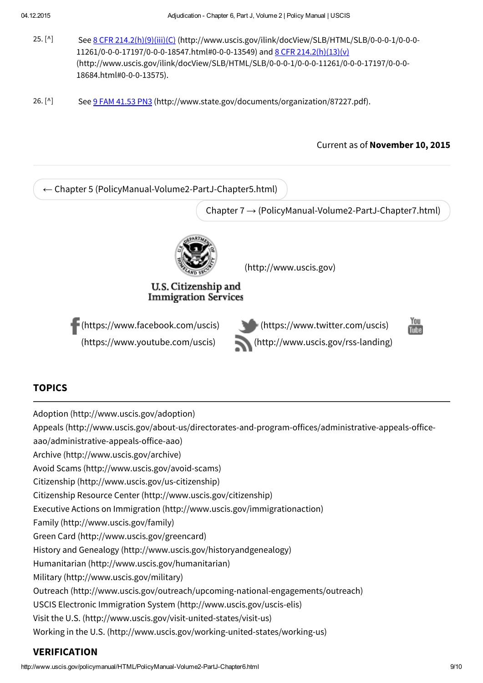- See 8 CFR 214.2(h)(9)(iii)(C) [\(http://www.uscis.gov/ilink/docView/SLB/HTML/SLB/0-0-0-1/0-0-0-](http://www.uscis.gov/ilink/docView/SLB/HTML/SLB/0-0-0-1/0-0-0-11261/0-0-0-17197/0-0-0-18547.html#0-0-0-13549) 11261/0-0-0-17197/0-0-0-18547.html#0-0-0-13549) and 8 CFR 214.2(h)(13)(v) [\(http://www.uscis.gov/ilink/docView/SLB/HTML/SLB/0-0-0-1/0-0-0-11261/0-0-0-17197/0-0-0-](http://www.uscis.gov/ilink/docView/SLB/HTML/SLB/0-0-0-1/0-0-0-11261/0-0-0-17197/0-0-0-18684.html#0-0-0-13575) 18684.html#0-0-0-13575).  $25.$  [^]
- See 9 FAM 41.53 PN3 [\(http://www.state.gov/documents/organization/87227.pdf\).](http://www.state.gov/documents/organization/87227.pdf)  $26. [^{\wedge}]$

#### Current as of November 10, 2015



#### TOPICS

Adoption [\(http://www.uscis.gov/adoption\)](http://www.uscis.gov/adoption)

Appeals [\(http://www.uscis.gov/about-us/directorates-and-program-offices/administrative-appeals-office-](http://www.uscis.gov/about-us/directorates-and-program-offices/administrative-appeals-office-aao/administrative-appeals-office-aao)

aao/administrative-appeals-office-aao)

Archive [\(http://www.uscis.gov/archive\)](http://www.uscis.gov/archive)

Avoid Scams [\(http://www.uscis.gov/avoid-scams\)](http://www.uscis.gov/avoid-scams)

Citizenship [\(http://www.uscis.gov/us-citizenship\)](http://www.uscis.gov/us-citizenship)

Citizenship Resource Center [\(http://www.uscis.gov/citizenship\)](http://www.uscis.gov/citizenship)

Executive Actions on Immigration [\(http://www.uscis.gov/immigrationaction\)](http://www.uscis.gov/immigrationaction)

Family [\(http://www.uscis.gov/family\)](http://www.uscis.gov/family)

Green Card [\(http://www.uscis.gov/greencard\)](http://www.uscis.gov/greencard)

History and Genealogy [\(http://www.uscis.gov/historyandgenealogy\)](http://www.uscis.gov/historyandgenealogy)

Humanitarian [\(http://www.uscis.gov/humanitarian\)](http://www.uscis.gov/humanitarian)

Military [\(http://www.uscis.gov/military\)](http://www.uscis.gov/military)

Outreach [\(http://www.uscis.gov/outreach/upcoming-national-engagements/outreach\)](http://www.uscis.gov/outreach/upcoming-national-engagements/outreach)

USCIS Electronic Immigration System [\(http://www.uscis.gov/uscis-elis\)](http://www.uscis.gov/uscis-elis)

Visit the U.S. [\(http://www.uscis.gov/visit-united-states/visit-us\)](http://www.uscis.gov/visit-united-states/visit-us)

Working in the U.S. [\(http://www.uscis.gov/working-united-states/working-us\)](http://www.uscis.gov/working-united-states/working-us)

#### VERIFICATION